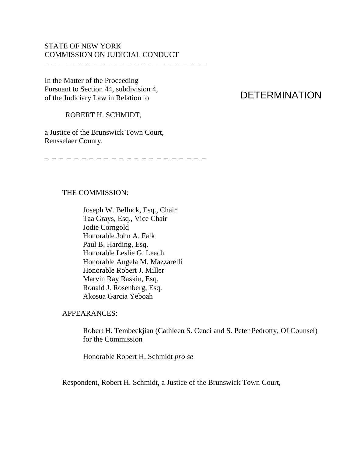## STATE OF NEW YORK COMMISSION ON JUDICIAL CONDUCT

– – – – – – – – – – – – – – – – – – – – – –

In the Matter of the Proceeding Pursuant to Section 44, subdivision 4, of the Judiciary Law in Relation to

# DETERMINATION

### ROBERT H. SCHMIDT,

a Justice of the Brunswick Town Court, Rensselaer County.

– – – – – – – – – – – – – – – – – – – – – –

#### THE COMMISSION:

 Joseph W. Belluck, Esq., Chair Taa Grays, Esq., Vice Chair Jodie Corngold Honorable John A. Falk Paul B. Harding, Esq. Honorable Leslie G. Leach Honorable Angela M. Mazzarelli Honorable Robert J. Miller Marvin Ray Raskin, Esq. Ronald J. Rosenberg, Esq. Akosua Garcia Yeboah

#### APPEARANCES:

Robert H. Tembeckjian (Cathleen S. Cenci and S. Peter Pedrotty, Of Counsel) for the Commission

Honorable Robert H. Schmidt *pro se*

Respondent, Robert H. Schmidt, a Justice of the Brunswick Town Court,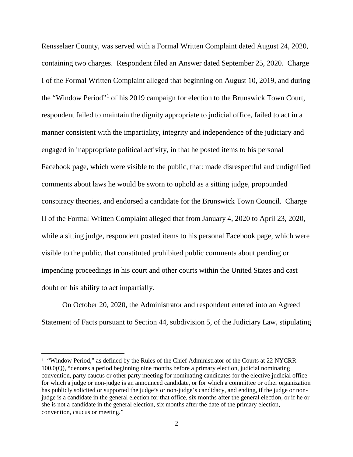Rensselaer County, was served with a Formal Written Complaint dated August 24, 2020, containing two charges. Respondent filed an Answer dated September 25, 2020. Charge I of the Formal Written Complaint alleged that beginning on August 10, 2019, and during the "Window Period"[1](#page-1-0) of his 2019 campaign for election to the Brunswick Town Court, respondent failed to maintain the dignity appropriate to judicial office, failed to act in a manner consistent with the impartiality, integrity and independence of the judiciary and engaged in inappropriate political activity, in that he posted items to his personal Facebook page, which were visible to the public, that: made disrespectful and undignified comments about laws he would be sworn to uphold as a sitting judge, propounded conspiracy theories, and endorsed a candidate for the Brunswick Town Council. Charge II of the Formal Written Complaint alleged that from January 4, 2020 to April 23, 2020, while a sitting judge, respondent posted items to his personal Facebook page, which were visible to the public, that constituted prohibited public comments about pending or impending proceedings in his court and other courts within the United States and cast doubt on his ability to act impartially.

On October 20, 2020, the Administrator and respondent entered into an Agreed Statement of Facts pursuant to Section 44, subdivision 5, of the Judiciary Law, stipulating

÷,

<span id="page-1-0"></span><sup>&</sup>lt;sup>1</sup> "Window Period," as defined by the Rules of the Chief Administrator of the Courts at 22 NYCRR 100.0(Q), "denotes a period beginning nine months before a primary election, judicial nominating convention, party caucus or other party meeting for nominating candidates for the elective judicial office for which a judge or non-judge is an announced candidate, or for which a committee or other organization has publicly solicited or supported the judge's or non-judge's candidacy, and ending, if the judge or nonjudge is a candidate in the general election for that office, six months after the general election, or if he or she is not a candidate in the general election, six months after the date of the primary election, convention, caucus or meeting."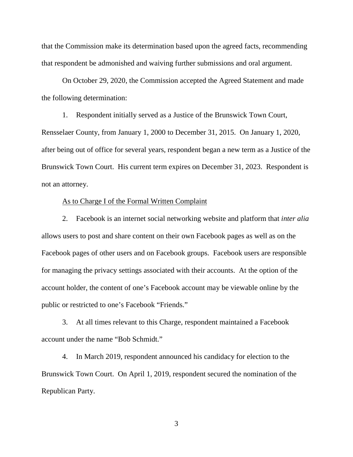that the Commission make its determination based upon the agreed facts, recommending that respondent be admonished and waiving further submissions and oral argument.

On October 29, 2020, the Commission accepted the Agreed Statement and made the following determination:

1. Respondent initially served as a Justice of the Brunswick Town Court, Rensselaer County, from January 1, 2000 to December 31, 2015. On January 1, 2020, after being out of office for several years, respondent began a new term as a Justice of the Brunswick Town Court. His current term expires on December 31, 2023. Respondent is not an attorney.

#### As to Charge I of the Formal Written Complaint

2. Facebook is an internet social networking website and platform that *inter alia*  allows users to post and share content on their own Facebook pages as well as on the Facebook pages of other users and on Facebook groups. Facebook users are responsible for managing the privacy settings associated with their accounts. At the option of the account holder, the content of one's Facebook account may be viewable online by the public or restricted to one's Facebook "Friends."

3. At all times relevant to this Charge, respondent maintained a Facebook account under the name "Bob Schmidt."

4. In March 2019, respondent announced his candidacy for election to the Brunswick Town Court. On April 1, 2019, respondent secured the nomination of the Republican Party.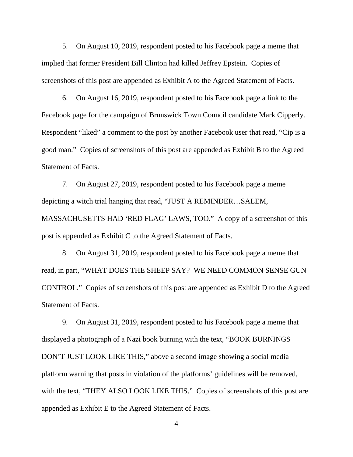5. On August 10, 2019, respondent posted to his Facebook page a meme that implied that former President Bill Clinton had killed Jeffrey Epstein. Copies of screenshots of this post are appended as Exhibit A to the Agreed Statement of Facts.

6. On August 16, 2019, respondent posted to his Facebook page a link to the Facebook page for the campaign of Brunswick Town Council candidate Mark Cipperly. Respondent "liked" a comment to the post by another Facebook user that read, "Cip is a good man." Copies of screenshots of this post are appended as Exhibit B to the Agreed Statement of Facts.

7. On August 27, 2019, respondent posted to his Facebook page a meme depicting a witch trial hanging that read, "JUST A REMINDER…SALEM, MASSACHUSETTS HAD 'RED FLAG' LAWS, TOO." A copy of a screenshot of this post is appended as Exhibit C to the Agreed Statement of Facts.

8. On August 31, 2019, respondent posted to his Facebook page a meme that read, in part, "WHAT DOES THE SHEEP SAY? WE NEED COMMON SENSE GUN CONTROL." Copies of screenshots of this post are appended as Exhibit D to the Agreed Statement of Facts.

9. On August 31, 2019, respondent posted to his Facebook page a meme that displayed a photograph of a Nazi book burning with the text, "BOOK BURNINGS DON'T JUST LOOK LIKE THIS," above a second image showing a social media platform warning that posts in violation of the platforms' guidelines will be removed, with the text, "THEY ALSO LOOK LIKE THIS." Copies of screenshots of this post are appended as Exhibit E to the Agreed Statement of Facts.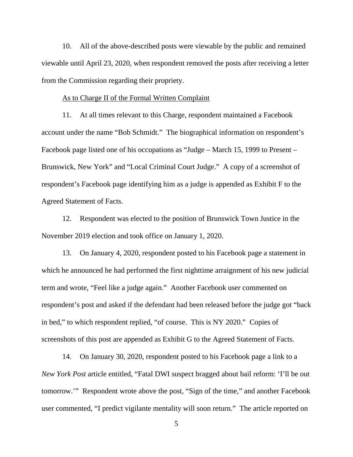10. All of the above-described posts were viewable by the public and remained viewable until April 23, 2020, when respondent removed the posts after receiving a letter from the Commission regarding their propriety.

#### As to Charge II of the Formal Written Complaint

11. At all times relevant to this Charge, respondent maintained a Facebook account under the name "Bob Schmidt." The biographical information on respondent's Facebook page listed one of his occupations as "Judge – March 15, 1999 to Present – Brunswick, New York" and "Local Criminal Court Judge." A copy of a screenshot of respondent's Facebook page identifying him as a judge is appended as Exhibit F to the Agreed Statement of Facts.

12. Respondent was elected to the position of Brunswick Town Justice in the November 2019 election and took office on January 1, 2020.

13. On January 4, 2020, respondent posted to his Facebook page a statement in which he announced he had performed the first nighttime arraignment of his new judicial term and wrote, "Feel like a judge again." Another Facebook user commented on respondent's post and asked if the defendant had been released before the judge got "back in bed," to which respondent replied, "of course. This is NY 2020." Copies of screenshots of this post are appended as Exhibit G to the Agreed Statement of Facts.

14. On January 30, 2020, respondent posted to his Facebook page a link to a *New York Post* article entitled, "Fatal DWI suspect bragged about bail reform: 'I'll be out tomorrow.'" Respondent wrote above the post, "Sign of the time," and another Facebook user commented, "I predict vigilante mentality will soon return." The article reported on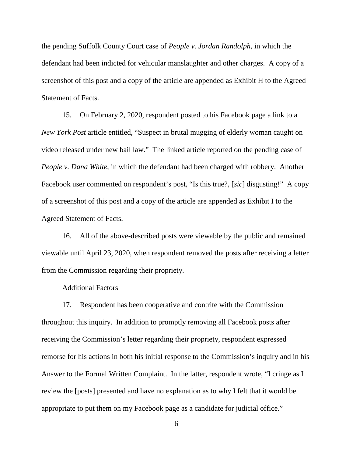the pending Suffolk County Court case of *People v. Jordan Randolph*, in which the defendant had been indicted for vehicular manslaughter and other charges. A copy of a screenshot of this post and a copy of the article are appended as Exhibit H to the Agreed Statement of Facts.

15. On February 2, 2020, respondent posted to his Facebook page a link to a *New York Post* article entitled, "Suspect in brutal mugging of elderly woman caught on video released under new bail law." The linked article reported on the pending case of *People v. Dana White*, in which the defendant had been charged with robbery. Another Facebook user commented on respondent's post, "Is this true?, [*sic*] disgusting!" A copy of a screenshot of this post and a copy of the article are appended as Exhibit I to the Agreed Statement of Facts.

16. All of the above-described posts were viewable by the public and remained viewable until April 23, 2020, when respondent removed the posts after receiving a letter from the Commission regarding their propriety.

#### Additional Factors

17. Respondent has been cooperative and contrite with the Commission throughout this inquiry. In addition to promptly removing all Facebook posts after receiving the Commission's letter regarding their propriety, respondent expressed remorse for his actions in both his initial response to the Commission's inquiry and in his Answer to the Formal Written Complaint. In the latter, respondent wrote, "I cringe as I review the [posts] presented and have no explanation as to why I felt that it would be appropriate to put them on my Facebook page as a candidate for judicial office."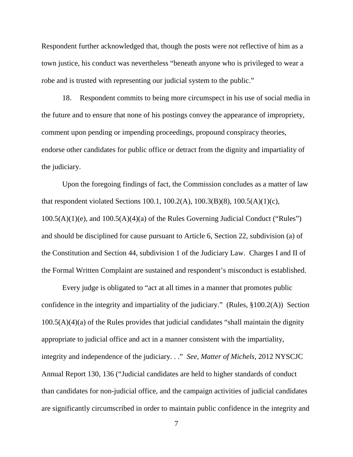Respondent further acknowledged that, though the posts were not reflective of him as a town justice, his conduct was nevertheless "beneath anyone who is privileged to wear a robe and is trusted with representing our judicial system to the public."

18. Respondent commits to being more circumspect in his use of social media in the future and to ensure that none of his postings convey the appearance of impropriety, comment upon pending or impending proceedings, propound conspiracy theories, endorse other candidates for public office or detract from the dignity and impartiality of the judiciary.

Upon the foregoing findings of fact, the Commission concludes as a matter of law that respondent violated Sections 100.1, 100.2(A), 100.3(B)(8), 100.5(A)(1)(c), 100.5(A)(1)(e), and 100.5(A)(4)(a) of the Rules Governing Judicial Conduct ("Rules") and should be disciplined for cause pursuant to Article 6, Section 22, subdivision (a) of the Constitution and Section 44, subdivision 1 of the Judiciary Law. Charges I and II of the Formal Written Complaint are sustained and respondent's misconduct is established.

Every judge is obligated to "act at all times in a manner that promotes public confidence in the integrity and impartiality of the judiciary." (Rules, §100.2(A)) Section 100.5(A)(4)(a) of the Rules provides that judicial candidates "shall maintain the dignity appropriate to judicial office and act in a manner consistent with the impartiality, integrity and independence of the judiciary. . ." *See*, *Matter of Michels*, 2012 NYSCJC Annual Report 130, 136 ("Judicial candidates are held to higher standards of conduct than candidates for non-judicial office, and the campaign activities of judicial candidates are significantly circumscribed in order to maintain public confidence in the integrity and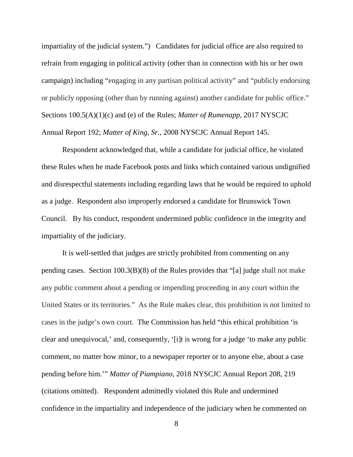impartiality of the judicial system.") Candidates for judicial office are also required to refrain from engaging in political activity (other than in connection with his or her own campaign) including "engaging in any partisan political activity" and "publicly endorsing or publicly opposing (other than by running against) another candidate for public office." Sections 100.5(A)(1)(c) and (e) of the Rules; *Matter of Rumenapp*, 2017 NYSCJC Annual Report 192; *Matter of King, Sr.*, 2008 NYSCJC Annual Report 145.

Respondent acknowledged that, while a candidate for judicial office, he violated these Rules when he made Facebook posts and links which contained various undignified and disrespectful statements including regarding laws that he would be required to uphold as a judge. Respondent also improperly endorsed a candidate for Brunswick Town Council. By his conduct, respondent undermined public confidence in the integrity and impartiality of the judiciary.

It is well-settled that judges are strictly prohibited from commenting on any pending cases. Section 100.3(B)(8) of the Rules provides that "[a] judge shall not make any public comment about a pending or impending proceeding in any court within the United States or its territories." As the Rule makes clear, this prohibition is not limited to cases in the judge's own court. The Commission has held "this ethical prohibition 'is clear and unequivocal,' and, consequently, '[i]t is wrong for a judge 'to make any public comment, no matter how minor, to a newspaper reporter or to anyone else, about a case pending before him.'" *Matter of Piampiano*, 2018 NYSCJC Annual Report 208, 219 (citations omitted). Respondent admittedly violated this Rule and undermined confidence in the impartiality and independence of the judiciary when he commented on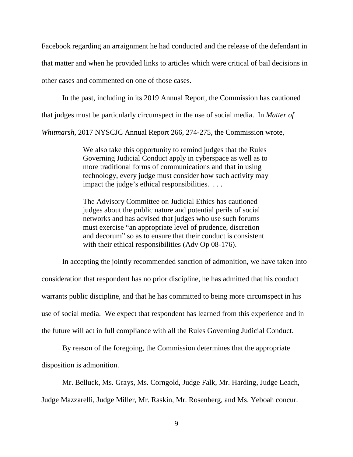Facebook regarding an arraignment he had conducted and the release of the defendant in that matter and when he provided links to articles which were critical of bail decisions in other cases and commented on one of those cases.

In the past, including in its 2019 Annual Report, the Commission has cautioned

that judges must be particularly circumspect in the use of social media. In *Matter of* 

*Whitmarsh*, 2017 NYSCJC Annual Report 266, 274-275, the Commission wrote,

We also take this opportunity to remind judges that the Rules Governing Judicial Conduct apply in cyberspace as well as to more traditional forms of communications and that in using technology, every judge must consider how such activity may impact the judge's ethical responsibilities. . . .

The Advisory Committee on Judicial Ethics has cautioned judges about the public nature and potential perils of social networks and has advised that judges who use such forums must exercise "an appropriate level of prudence, discretion and decorum" so as to ensure that their conduct is consistent with their ethical responsibilities (Adv Op 08-176).

In accepting the jointly recommended sanction of admonition, we have taken into consideration that respondent has no prior discipline, he has admitted that his conduct warrants public discipline, and that he has committed to being more circumspect in his use of social media. We expect that respondent has learned from this experience and in the future will act in full compliance with all the Rules Governing Judicial Conduct.

By reason of the foregoing, the Commission determines that the appropriate disposition is admonition.

Mr. Belluck, Ms. Grays, Ms. Corngold, Judge Falk, Mr. Harding, Judge Leach, Judge Mazzarelli, Judge Miller, Mr. Raskin, Mr. Rosenberg, and Ms. Yeboah concur.